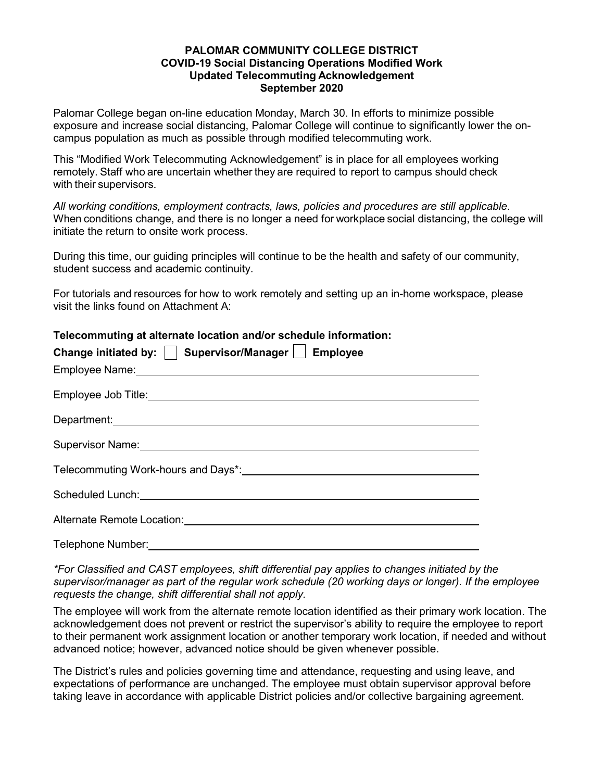### **PALOMAR COMMUNITY COLLEGE DISTRICT COVID-19 Social Distancing Operations Modified Work Updated Telecommuting Acknowledgement September 2020**

Palomar College began on-line education Monday, March 30. In efforts to minimize possible exposure and increase social distancing, Palomar College will continue to significantly lower the oncampus population as much as possible through modified telecommuting work.

This "Modified Work Telecommuting Acknowledgement" is in place for all employees working remotely. Staff who are uncertain whether they are required to report to campus should check with their supervisors.

*All working conditions, employment contracts, laws, policies and procedures are still applicable*. When conditions change, and there is no longer a need for workplace social distancing, the college will initiate the return to onsite work process.

During this time, our guiding principles will continue to be the health and safety of our community, student success and academic continuity.

For tutorials and resources for how to work remotely and setting up an in-home workspace, please visit the links found on Attachment A:

## **Telecommuting at alternate location and/or schedule information:**

| Change initiated by:   Supervisor/Manager   Employee                       |
|----------------------------------------------------------------------------|
|                                                                            |
|                                                                            |
| Department: <u>www.community.community.community.community.com</u>         |
|                                                                            |
| Telecommuting Work-hours and Days*:<br>Telecommuting Work-hours and Days*: |
|                                                                            |
|                                                                            |
|                                                                            |

*\*For Classified and CAST employees, shift differential pay applies to changes initiated by the supervisor/manager as part of the regular work schedule (20 working days or longer). If the employee requests the change, shift differential shall not apply.* 

The employee will work from the alternate remote location identified as their primary work location. The acknowledgement does not prevent or restrict the supervisor's ability to require the employee to report to their permanent work assignment location or another temporary work location, if needed and without advanced notice; however, advanced notice should be given whenever possible.

The District's rules and policies governing time and attendance, requesting and using leave, and expectations of performance are unchanged. The employee must obtain supervisor approval before taking leave in accordance with applicable District policies and/or collective bargaining agreement.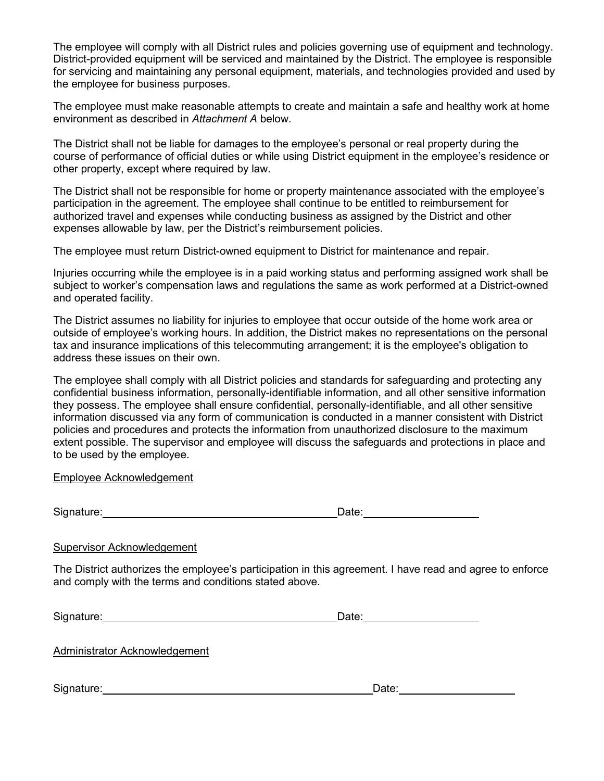The employee will comply with all District rules and policies governing use of equipment and technology. District-provided equipment will be serviced and maintained by the District. The employee is responsible for servicing and maintaining any personal equipment, materials, and technologies provided and used by the employee for business purposes.

The employee must make reasonable attempts to create and maintain a safe and healthy work at home environment as described in *Attachment A* below.

The District shall not be liable for damages to the employee's personal or real property during the course of performance of official duties or while using District equipment in the employee's residence or other property, except where required by law.

The District shall not be responsible for home or property maintenance associated with the employee's participation in the agreement. The employee shall continue to be entitled to reimbursement for authorized travel and expenses while conducting business as assigned by the District and other expenses allowable by law, per the District's reimbursement policies.

The employee must return District-owned equipment to District for maintenance and repair.

Injuries occurring while the employee is in a paid working status and performing assigned work shall be subject to worker's compensation laws and regulations the same as work performed at a District-owned and operated facility.

The District assumes no liability for injuries to employee that occur outside of the home work area or outside of employee's working hours. In addition, the District makes no representations on the personal tax and insurance implications of this telecommuting arrangement; it is the employee's obligation to address these issues on their own.

The employee shall comply with all District policies and standards for safeguarding and protecting any confidential business information, personally-identifiable information, and all other sensitive information they possess. The employee shall ensure confidential, personally-identifiable, and all other sensitive information discussed via any form of communication is conducted in a manner consistent with District policies and procedures and protects the information from unauthorized disclosure to the maximum extent possible. The supervisor and employee will discuss the safeguards and protections in place and to be used by the employee.

#### Employee Acknowledgement

Signature: Date:

# Supervisor Acknowledgement

The District authorizes the employee's participation in this agreement. I have read and agree to enforce and comply with the terms and conditions stated above.

Signature: Date:

Administrator Acknowledgement

Signature: Date: